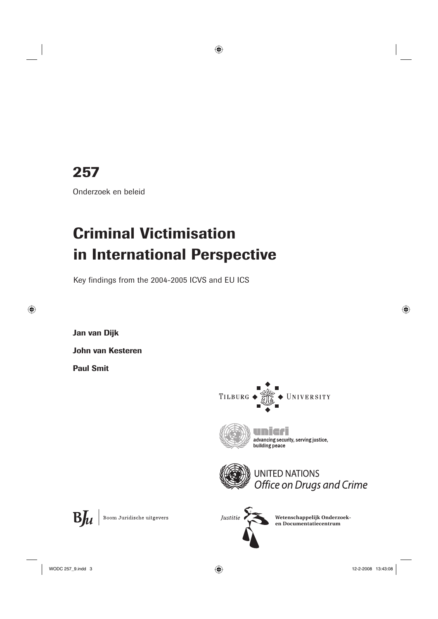## **257**

Onderzoek en beleid

# **Criminal Victimisation in International Perspective**

Key findings from the 2004-2005 ICVS and EU ICS

**Jan van Dijk**

**John van Kesteren**

**Paul Smit**

 $B_{\mu}$ 





advancing security, serving justice, building peace



Boom Juridische uitgevers

Justitie

**Wetenschappelijk Onderzoeken Documentatiecentrum**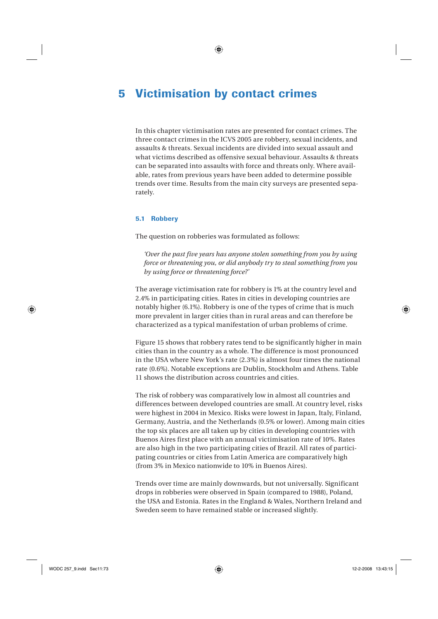### **5 Victimisation by contact crimes**

In this chapter victimisation rates are presented for contact crimes. The three contact crimes in the ICVS 2005 are robbery, sexual incidents, and assaults & threats. Sexual incidents are divided into sexual assault and what victims described as offensive sexual behaviour. Assaults & threats can be separated into assaults with force and threats only. Where available, rates from previous years have been added to determine possible trends over time. Results from the main city surveys are presented separately.

#### **5.1 Robbery**

The question on robberies was formulated as follows:

*'Over the past five years has anyone stolen something from you by using force or threatening you, or did anybody try to steal something from you by using force or threatening force?'*

The average victimisation rate for robbery is 1% at the country level and 2.4% in participating cities. Rates in cities in developing countries are notably higher (6.1%). Robbery is one of the types of crime that is much more prevalent in larger cities than in rural areas and can therefore be characterized as a typical manifestation of urban problems of crime.

Figure 15 shows that robbery rates tend to be significantly higher in main cities than in the country as a whole. The difference is most pronounced in the USA where New York's rate (2.3%) is almost four times the national rate (0.6%). Notable exceptions are Dublin, Stockholm and Athens. Table 11 shows the distribution across countries and cities.

The risk of robbery was comparatively low in almost all countries and differences between developed countries are small. At country level, risks were highest in 2004 in Mexico. Risks were lowest in Japan, Italy, Finland, Germany, Austria, and the Netherlands (0.5% or lower). Among main cities the top six places are all taken up by cities in developing countries with Buenos Aires first place with an annual victimisation rate of 10%. Rates are also high in the two participating cities of Brazil. All rates of participating countries or cities from Latin America are comparatively high (from 3% in Mexico nationwide to 10% in Buenos Aires).

Trends over time are mainly downwards, but not universally. Significant drops in robberies were observed in Spain (compared to 1988), Poland, the USA and Estonia. Rates in the England & Wales, Northern Ireland and Sweden seem to have remained stable or increased slightly.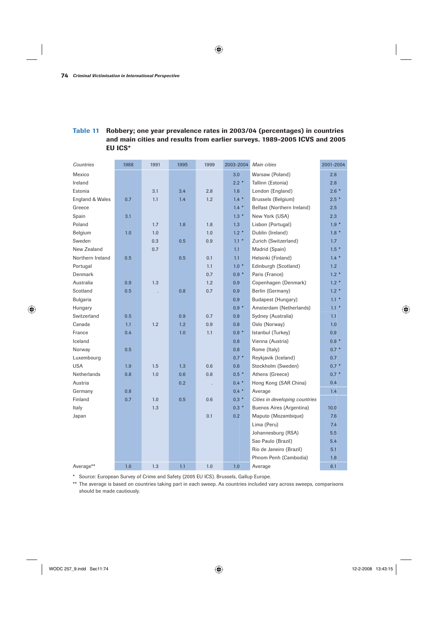#### **Table 11 Robbery; one year prevalence rates in 2003/04 (percentages) in countries and main cities and results from earlier surveys. 1989-2005 ICVS and 2005 EU ICS\***

| Countries        | 1988 | 1991 | 1995 | 1999 | 2003-2004 | Main cities                    | 2001-2004 |
|------------------|------|------|------|------|-----------|--------------------------------|-----------|
| Mexico           |      |      |      |      | 3.0       | Warsaw (Poland)                | 2.8       |
| Ireland          |      |      |      |      | $2.2*$    | Tallinn (Estonia)              | 2.8       |
| Estonia          |      | 3.1  | 3.4  | 2.8  | 1.6       | London (England)               | $2.6*$    |
| England & Wales  | 0.7  | 1.1  | 1.4  | 1.2  | $1.4 *$   | Brussels (Belgium)             | $2.5*$    |
| Greece           |      |      |      |      | $1.4 *$   | Belfast (Northern Ireland)     | 2.5       |
| Spain            | 3.1  |      |      |      | $1.3*$    | New York (USA)                 | 2.3       |
| Poland           |      | 1.7  | 1.8  | 1.8  | 1.3       | Lisbon (Portugal)              | $1.9*$    |
| Belgium          | 1.0  | 1.0  |      | 1.0  | $1.2*$    | Dublin (Ireland)               | $1.8*$    |
| Sweden           |      | 0.3  | 0.5  | 0.9  | $1.1*$    | Zurich (Switzerland)           | 1.7       |
| New Zealand      |      | 0.7  |      |      | 1.1       | Madrid (Spain)                 | $1.5*$    |
| Northern Ireland | 0.5  |      | 0.5  | 0.1  | 1.1       | Helsinki (Finland)             | $1.4 *$   |
| Portugal         |      |      |      | 1.1  | $1.0*$    | Edinburgh (Scotland)           | 1.2       |
| Denmark          |      |      |      | 0.7  | $0.9 *$   | Paris (France)                 | $1.2*$    |
| Australia        | 0.9  | 1.3  |      | 1.2  | 0.9       | Copenhagen (Denmark)           | $1.2*$    |
| Scotland         | 0.5  |      | 0.8  | 0.7  | 0.9       | Berlin (Germany)               | $1.2*$    |
| Bulgaria         |      |      |      |      | 0.9       | Budapest (Hungary)             | $1.1*$    |
| Hungary          |      |      |      |      | $0.9 *$   | Amsterdam (Netherlands)        | $1.1*$    |
| Switzerland      | 0.5  |      | 0.9  | 0.7  | 0.8       | Sydney (Australia)             | 1.1       |
| Canada           | 1.1  | 1.2  | 1.2  | 0.9  | 0.8       | Oslo (Norway)                  | 1.0       |
| France           | 0.4  |      | 1.0  | 1.1  | $0.8 *$   | Istanbul (Turkey)              | 0.9       |
| Iceland          |      |      |      |      | 0.8       | Vienna (Austria)               | $0.8*$    |
| Norway           | 0.5  |      |      |      | 0.8       | Rome (Italy)                   | $0.7 *$   |
| Luxembourg       |      |      |      |      | $0.7 *$   | Reykjavik (Iceland)            | 0.7       |
| <b>USA</b>       | 1.9  | 1.5  | 1.3  | 0.6  | 0.6       | Stockholm (Sweden)             | $0.7 *$   |
| Netherlands      | 0.8  | 1.0  | 0.6  | 0.8  | $0.5*$    | Athens (Greece)                | $0.7 *$   |
| Austria          |      |      | 0.2  |      | $0.4 *$   | Hong Kong (SAR China)          | 0.4       |
| Germany          | 0.8  |      |      |      | $0.4 *$   | Average                        | 1.4       |
| Finland          | 0.7  | 1.0  | 0.5  | 0.6  | $0.3 *$   | Cities in developing countries |           |
| Italy            |      | 1.3  |      |      | $0.3*$    | Buenos Aires (Argentina)       | 10.0      |
| Japan            |      |      |      | 0.1  | 0.2       | Maputo (Mozambique)            | 7.6       |
|                  |      |      |      |      |           | Lima (Peru)                    | 7.4       |
|                  |      |      |      |      |           | Johannesburg (RSA)             | 5.5       |
|                  |      |      |      |      |           | Sao Paulo (Brazil)             | 5.4       |
|                  |      |      |      |      |           | Rio de Janeiro (Brazil)        | 5.1       |
|                  |      |      |      |      |           | Phnom Penh (Cambodia)          | 1.8       |
| Average**        | 1.0  | 1.3  | 1.1  | 1.0  | 1.0       | Average                        | 6.1       |

\* Source: European Survey of Crime and Safety (2005 EU ICS). Brussels, Gallup Europe.

\*\* The average is based on countries taking part in each sweep. As countries included vary across sweeps, comparisons should be made cautiously.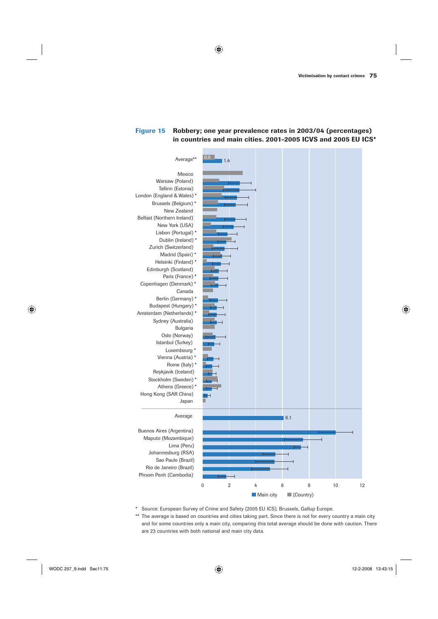#### **Figure 15 Robbery; one year prevalence rates in 2003/04 (percentages) in countries and main cities. 2001-2005 ICVS and 2005 EU ICS\***



- \* Source: European Survey of Crime and Safety (2005 EU ICS). Brussels, Gallup Europe.
- \*\* The average is based on countries and cities taking part. Since there is not for every country a main city and for some countries only a main city, comparing this total average should be done with caution. There are 23 countries with both national and main city data.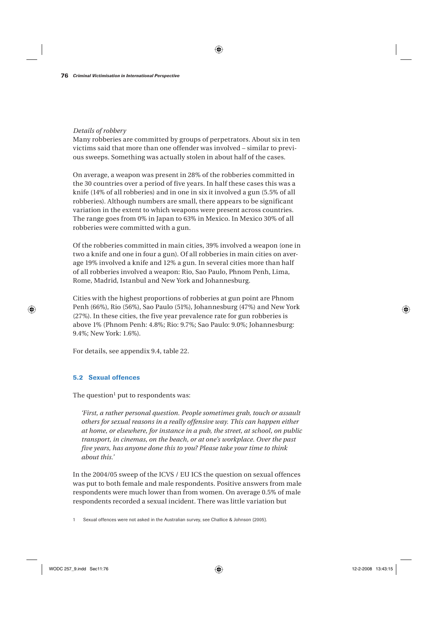#### *Details of robbery*

Many robberies are committed by groups of perpetrators. About six in ten victims said that more than one offender was involved – similar to previous sweeps. Something was actually stolen in about half of the cases.

On average, a weapon was present in 28% of the robberies committed in the 30 countries over a period of five years. In half these cases this was a knife (14% of all robberies) and in one in six it involved a gun (5.5% of all robberies). Although numbers are small, there appears to be significant variation in the extent to which weapons were present across countries. The range goes from 0% in Japan to 63% in Mexico. In Mexico 30% of all robberies were committed with a gun.

Of the robberies committed in main cities, 39% involved a weapon (one in two a knife and one in four a gun). Of all robberies in main cities on average 19% involved a knife and 12% a gun. In several cities more than half of all robberies involved a weapon: Rio, Sao Paulo, Phnom Penh, Lima, Rome, Madrid, Istanbul and New York and Johannesburg.

Cities with the highest proportions of robberies at gun point are Phnom Penh (66%), Rio (56%), Sao Paulo (51%), Johannesburg (47%) and New York (27%). In these cities, the five year prevalence rate for gun robberies is above 1% (Phnom Penh: 4.8%; Rio: 9.7%; Sao Paulo: 9.0%; Johannesburg: 9.4%; New York: 1.6%).

For details, see appendix 9.4, table 22.

#### **5.2 Sexual offences**

The question<sup>1</sup> put to respondents was:

*'First, a rather personal question. People sometimes grab, touch or assault others for sexual reasons in a really offensive way. This can happen either at home, or elsewhere, for instance in a pub, the street, at school, on public transport, in cinemas, on the beach, or at one's workplace. Over the past five years, has anyone done this to you? Please take your time to think about this.'*

In the 2004/05 sweep of the ICVS / EU ICS the question on sexual offences was put to both female and male respondents. Positive answers from male respondents were much lower than from women. On average 0.5% of male respondents recorded a sexual incident. There was little variation but

1 Sexual offences were not asked in the Australian survey, see Challice & Johnson (2005).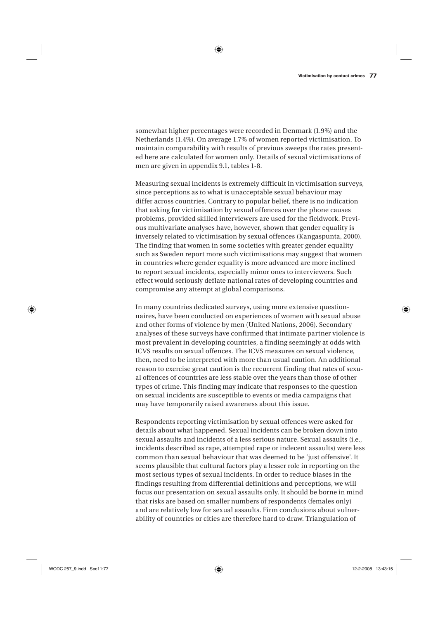somewhat higher percentages were recorded in Denmark (1.9%) and the Netherlands (1.4%). On average 1.7% of women reported victimisation. To maintain comparability with results of previous sweeps the rates presented here are calculated for women only. Details of sexual victimisations of men are given in appendix 9.1, tables 1-8.

Measuring sexual incidents is extremely difficult in victimisation surveys, since perceptions as to what is unacceptable sexual behaviour may differ across countries. Contrary to popular belief, there is no indication that asking for victimisation by sexual offences over the phone causes problems, provided skilled interviewers are used for the fieldwork. Previous multivariate analyses have, however, shown that gender equality is inversely related to victimisation by sexual offences (Kangaspunta, 2000). The finding that women in some societies with greater gender equality such as Sweden report more such victimisations may suggest that women in countries where gender equality is more advanced are more inclined to report sexual incidents, especially minor ones to interviewers. Such effect would seriously deflate national rates of developing countries and compromise any attempt at global comparisons.

In many countries dedicated surveys, using more extensive questionnaires, have been conducted on experiences of women with sexual abuse and other forms of violence by men (United Nations, 2006). Secondary analyses of these surveys have confirmed that intimate partner violence is most prevalent in developing countries, a finding seemingly at odds with ICVS results on sexual offences. The ICVS measures on sexual violence, then, need to be interpreted with more than usual caution. An additional reason to exercise great caution is the recurrent finding that rates of sexual offences of countries are less stable over the years than those of other types of crime. This finding may indicate that responses to the question on sexual incidents are susceptible to events or media campaigns that may have temporarily raised awareness about this issue.

Respondents reporting victimisation by sexual offences were asked for details about what happened. Sexual incidents can be broken down into sexual assaults and incidents of a less serious nature. Sexual assaults (i.e., incidents described as rape, attempted rape or indecent assaults) were less common than sexual behaviour that was deemed to be 'just offensive'. It seems plausible that cultural factors play a lesser role in reporting on the most serious types of sexual incidents. In order to reduce biases in the findings resulting from differential definitions and perceptions, we will focus our presentation on sexual assaults only. It should be borne in mind that risks are based on smaller numbers of respondents (females only) and are relatively low for sexual assaults. Firm conclusions about vulnerability of countries or cities are therefore hard to draw. Triangulation of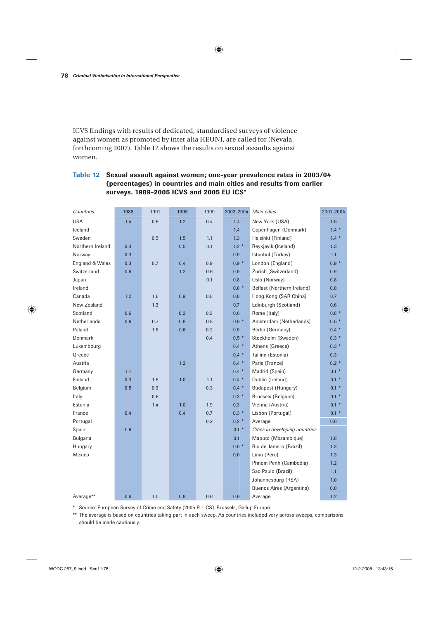ICVS findings with results of dedicated, standardised surveys of violence against women as promoted by inter alia HEUNI, are called for (Nevala, forthcoming 2007). Table 12 shows the results on sexual assaults against women.

#### **Table 12 Sexual assault against women; one-year prevalence rates in 2003/04 (percentages) in countries and main cities and results from earlier surveys. 1989-2005 ICVS and 2005 EU ICS\***

| Countries        | 1988 | 1991 | 1995 | 1999 | 2003-2004 | Main cities                    | 2001-2004 |
|------------------|------|------|------|------|-----------|--------------------------------|-----------|
| <b>USA</b>       | 1.4  | 0.6  | 1.2  | 0.4  | 1.4       | New York (USA)                 | 1.5       |
| Iceland          |      |      |      |      | 1.4       | Copenhagen (Denmark)           | $1.4 *$   |
| Sweden           |      | 0.5  | 1.5  | 1.1  | 1.3       | Helsinki (Finland)             | $1.4 *$   |
| Northern Ireland | 0.3  |      | 0.5  | 0.1  | $1.2*$    | Reykjavik (Iceland)            | 1.3       |
| Norway           | 0.3  |      |      |      | 0.9       | Istanbul (Turkey)              | 1.1       |
| England & Wales  | 0.3  | 0.7  | 0.4  | 0.9  | $0.9 *$   | London (England)               | $0.9 *$   |
| Switzerland      | 0.6  |      | 1.2  | 0.6  | 0.9       | Zurich (Switzerland)           | 0.9       |
| Japan            |      |      |      | 0.1  | 0.8       | Oslo (Norway)                  | 0.8       |
| Ireland          |      |      |      |      | $0.8 *$   | Belfast (Northern Ireland)     | 0.8       |
| Canada           | 1.2  | 1.6  | 0.9  | 0.8  | 0.8       | Hong Kong (SAR China)          | 0.7       |
| New Zealand      |      | 1.3  |      |      | 0.7       | Edinburgh (Scotland)           | 0.6       |
| Scotland         | 0.6  |      | 0.2  | 0.3  | 0.6       | Rome (Italy)                   | $0.6*$    |
| Netherlands      | 0.6  | 0.7  | 0.8  | 0.8  | $0.6*$    | Amsterdam (Netherlands)        | $0.5*$    |
| Poland           |      | 1.5  | 0.6  | 0.2  | 0.5       | Berlin (Germany)               | $0.4 *$   |
| Denmark          |      |      |      | 0.4  | $0.5*$    | Stockholm (Sweden)             | $0.3*$    |
| Luxembourg       |      |      |      |      | $0.4 *$   | Athens (Greece)                | $0.3*$    |
| Greece           |      |      |      |      | $0.4 *$   | Tallinn (Estonia)              | 0.3       |
| Austria          |      |      | 1.2  |      | $0.4 *$   | Paris (France)                 | $0.2*$    |
| Germany          | 1.1  |      |      |      | $0.4 *$   | Madrid (Spain)                 | $0.1 *$   |
| Finland          | 0.3  | 1.5  | 1.0  | 1.1  | $0.4 *$   | Dublin (Ireland)               | $0.1 *$   |
| Belgium          | 0.5  | 0.9  |      | 0.3  | $0.4 *$   | Budapest (Hungary)             | $0.1 *$   |
| Italy            |      | 0.6  |      |      | $0.3 *$   | Brussels (Belgium)             | $0.1 *$   |
| Estonia          |      | 1.4  | 1.0  | 1.9  | 0.3       | Vienna (Austria)               | $0.1 *$   |
| France           | 0.4  |      | 0.4  | 0.7  | $0.3 *$   | Lisbon (Portugal)              | $0.1 *$   |
| Portugal         |      |      |      | 0.2  | $0.2 *$   | Average                        | 0.6       |
| Spain            | 0.6  |      |      |      | $0.1 *$   | Cities in developing countries |           |
| Bulgaria         |      |      |      |      | 0.1       | Maputo (Mozambique)            | 1.8       |
| Hungary          |      |      |      |      | $0.0*$    | Rio de Janeiro (Brazil)        | 1.3       |
| Mexico           |      |      |      |      | 0.0       | Lima (Peru)                    | 1.3       |
|                  |      |      |      |      |           | Phnom Penh (Cambodia)          | 1.2       |
|                  |      |      |      |      |           | Sao Paulo (Brazil)             | 1.1       |
|                  |      |      |      |      |           | Johannesburg (RSA)             | 1.0       |
|                  |      |      |      |      |           | Buenos Aires (Argentina)       | 0.8       |
| Average**        | 0.6  | 1.0  | 0.8  | 0.6  | 0.6       | Average                        | 1.2       |

\* Source: European Survey of Crime and Safety (2005 EU ICS). Brussels, Gallup Europe.

\*\* The average is based on countries taking part in each sweep. As countries included vary across sweeps, comparisons should be made cautiously.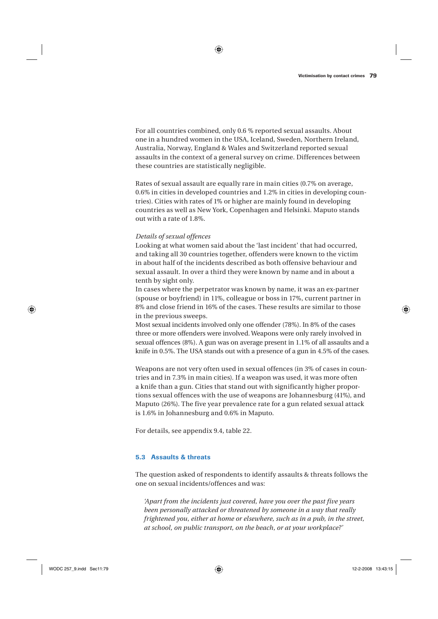For all countries combined, only 0.6 % reported sexual assaults. About one in a hundred women in the USA, Iceland, Sweden, Northern Ireland, Australia, Norway, England & Wales and Switzerland reported sexual assaults in the context of a general survey on crime. Differences between these countries are statistically negligible.

Rates of sexual assault are equally rare in main cities (0.7% on average, 0.6% in cities in developed countries and 1.2% in cities in developing countries). Cities with rates of 1% or higher are mainly found in developing countries as well as New York, Copenhagen and Helsinki. Maputo stands out with a rate of 1.8%.

#### *Details of sexual offences*

Looking at what women said about the 'last incident' that had occurred, and taking all 30 countries together, offenders were known to the victim in about half of the incidents described as both offensive behaviour and sexual assault. In over a third they were known by name and in about a tenth by sight only.

In cases where the perpetrator was known by name, it was an ex-partner (spouse or boyfriend) in 11%, colleague or boss in 17%, current partner in 8% and close friend in 16% of the cases. These results are similar to those in the previous sweeps.

Most sexual incidents involved only one offender (78%). In 8% of the cases three or more offenders were involved. Weapons were only rarely involved in sexual offences (8%). A gun was on average present in 1.1% of all assaults and a knife in 0.5%. The USA stands out with a presence of a gun in 4.5% of the cases.

Weapons are not very often used in sexual offences (in 3% of cases in countries and in 7.3% in main cities). If a weapon was used, it was more often a knife than a gun. Cities that stand out with significantly higher proportions sexual offences with the use of weapons are Johannesburg (41%), and Maputo (26%). The five year prevalence rate for a gun related sexual attack is 1.6% in Johannesburg and 0.6% in Maputo.

For details, see appendix 9.4, table 22.

#### **5.3 Assaults & threats**

The question asked of respondents to identify assaults & threats follows the one on sexual incidents/offences and was:

*'Apart from the incidents just covered, have you over the past five years been personally attacked or threatened by someone in a way that really frightened you, either at home or elsewhere, such as in a pub, in the street, at school, on public transport, on the beach, or at your workplace?'*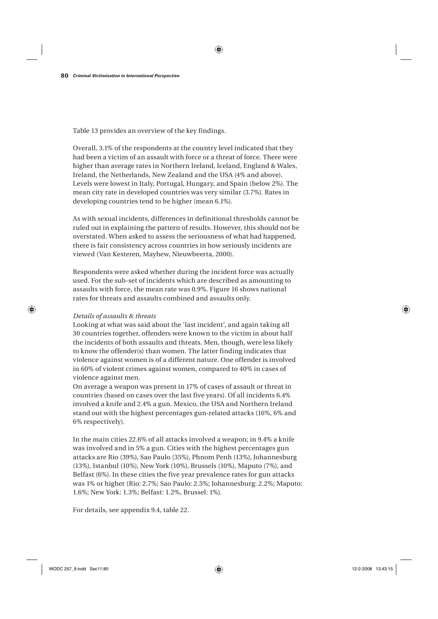Table 13 provides an overview of the key findings.

Overall, 3.1% of the respondents at the country level indicated that they had been a victim of an assault with force or a threat of force. There were higher than average rates in Northern Ireland, Iceland, England & Wales, Ireland, the Netherlands, New Zealand and the USA (4% and above). Levels were lowest in Italy, Portugal, Hungary, and Spain (below 2%). The mean city rate in developed countries was very similar (3.7%). Rates in developing countries tend to be higher (mean 6.1%).

As with sexual incidents, differences in definitional thresholds cannot be ruled out in explaining the pattern of results. However, this should not be overstated. When asked to assess the seriousness of what had happened, there is fair consistency across countries in how seriously incidents are viewed (Van Kesteren, Mayhew, Nieuwbeerta, 2000).

Respondents were asked whether during the incident force was actually used. For the sub-set of incidents which are described as amounting to assaults with force, the mean rate was 0.9%. Figure 16 shows national rates for threats and assaults combined and assaults only.

#### *Details of assaults & threats*

Looking at what was said about the 'last incident', and again taking all 30 countries together, offenders were known to the victim in about half the incidents of both assaults and threats. Men, though, were less likely to know the offender(s) than women. The latter finding indicates that violence against women is of a different nature. One offender is involved in 60% of violent crimes against women, compared to 40% in cases of violence against men.

On average a weapon was present in 17% of cases of assault or threat in countries (based on cases over the last five years). Of all incidents 6.4% involved a knife and 2.4% a gun. Mexico, the USA and Northern Ireland stand out with the highest percentages gun-related attacks (16%, 6% and 6% respectively).

In the main cities 22.6% of all attacks involved a weapon; in 9.4% a knife was involved and in 5% a gun. Cities with the highest percentages gun attacks are Rio (39%), Sao Paulo (35%), Phnom Penh (13%), Johannesburg (13%), Istanbul (10%), New York (10%), Brussels (10%), Maputo (7%), and Belfast (6%). In these cities the five year prevalence rates for gun attacks was 1% or higher (Rio: 2.7%; Sao Paulo: 2.5%; Johannesburg: 2.2%; Maputo: 1.6%; New York: 1.3%; Belfast: 1.2%, Brussel: 1%).

For details, see appendix 9.4, table 22.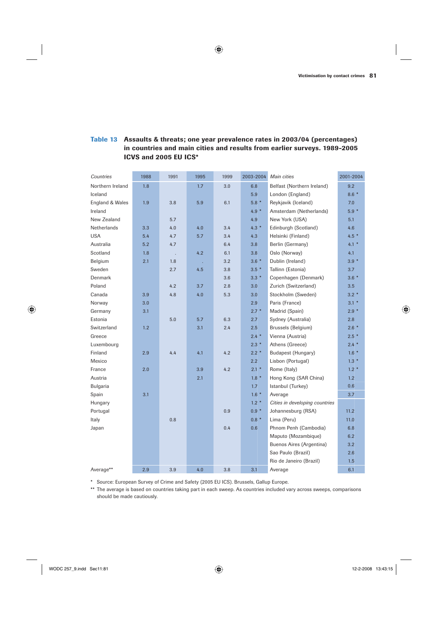#### **Table 13 Assaults & threats; one year prevalence rates in 2003/04 (percentages) in countries and main cities and results from earlier surveys. 1989-2005 ICVS and 2005 EU ICS\***

| Countries          | 1988 | 1991 | 1995 | 1999 | 2003-2004 | Main cities                    | 2001-2004 |
|--------------------|------|------|------|------|-----------|--------------------------------|-----------|
| Northern Ireland   | 1.8  |      | 1.7  | 3.0  | 6.8       | Belfast (Northern Ireland)     | 9.2       |
| Iceland            |      |      |      |      | 5.9       | London (England)               | $8.6*$    |
| England & Wales    | 1.9  | 3.8  | 5.9  | 6.1  | $5.8*$    | Reykjavik (Iceland)            | 7.0       |
| Ireland            |      |      |      |      | $4.9 *$   | Amsterdam (Netherlands)        | $5.9*$    |
| New Zealand        |      | 5.7  |      |      | 4.9       | New York (USA)                 | 5.1       |
| <b>Netherlands</b> | 3.3  | 4.0  | 4.0  | 3.4  | $4.3*$    | Edinburgh (Scotland)           | 4.6       |
| <b>USA</b>         | 5.4  | 4.7  | 5.7  | 3.4  | 4.3       | Helsinki (Finland)             | $4.5*$    |
| Australia          | 5.2  | 4.7  |      | 6.4  | 3.8       | Berlin (Germany)               | $4.1 *$   |
| Scotland           | 1.8  | ÷.   | 4.2  | 6.1  | 3.8       | Oslo (Norway)                  | 4.1       |
| Belgium            | 2.1  | 1.8  |      | 3.2  | $3.6*$    | Dublin (Ireland)               | $3.9 *$   |
| Sweden             |      | 2.7  | 4.5  | 3.8  | $3.5*$    | Tallinn (Estonia)              | 3.7       |
| Denmark            |      |      |      | 3.6  | $3.3*$    | Copenhagen (Denmark)           | $3.6*$    |
| Poland             |      | 4.2  | 3.7  | 2.8  | 3.0       | Zurich (Switzerland)           | 3.5       |
| Canada             | 3.9  | 4.8  | 4.0  | 5.3  | 3.0       | Stockholm (Sweden)             | $3.2*$    |
| Norway             | 3.0  |      |      |      | 2.9       | Paris (France)                 | $3.1*$    |
| Germany            | 3.1  |      |      |      | $2.7*$    | Madrid (Spain)                 | $2.9*$    |
| Estonia            |      | 5.0  | 5.7  | 6.3  | 2.7       | Sydney (Australia)             | 2.8       |
| Switzerland        | 1.2  |      | 3.1  | 2.4  | 2.5       | Brussels (Belgium)             | $2.6*$    |
| Greece             |      |      |      |      | $2.4*$    | Vienna (Austria)               | $2.5*$    |
| Luxembourg         |      |      |      |      | $2.3*$    | Athens (Greece)                | $2.4 *$   |
| Finland            | 2.9  | 4.4  | 4.1  | 4.2  | $2.2*$    | Budapest (Hungary)             | $1.6*$    |
| Mexico             |      |      |      |      | 2.2       | Lisbon (Portugal)              | $1.3*$    |
| France             | 2.0  |      | 3.9  | 4.2  | $2.1 *$   | Rome (Italy)                   | $1.2*$    |
| Austria            |      |      | 2.1  |      | $1.8*$    | Hong Kong (SAR China)          | 1.2       |
| Bulgaria           |      |      |      |      | 1.7       | Istanbul (Turkey)              | 0.6       |
| Spain              | 3.1  |      |      |      | $1.6*$    | Average                        | 3.7       |
| Hungary            |      |      |      |      | $1.2*$    | Cities in developing countries |           |
| Portugal           |      |      |      | 0.9  | $0.9 *$   | Johannesburg (RSA)             | 11.2      |
| Italy              |      | 0.8  |      |      | $0.8 *$   | Lima (Peru)                    | 11.0      |
| Japan              |      |      |      | 0.4  | 0.6       | Phnom Penh (Cambodia)          | 6.8       |
|                    |      |      |      |      |           | Maputo (Mozambique)            | 6.2       |
|                    |      |      |      |      |           | Buenos Aires (Argentina)       | 3.2       |
|                    |      |      |      |      |           | Sao Paulo (Brazil)             | 2.6       |
|                    |      |      |      |      |           | Rio de Janeiro (Brazil)        | 1.5       |
| Average**          | 2.9  | 3.9  | 4.0  | 3.8  | 3.1       | Average                        | 6.1       |

\* Source: European Survey of Crime and Safety (2005 EU ICS). Brussels, Gallup Europe.

\*\* The average is based on countries taking part in each sweep. As countries included vary across sweeps, comparisons should be made cautiously.